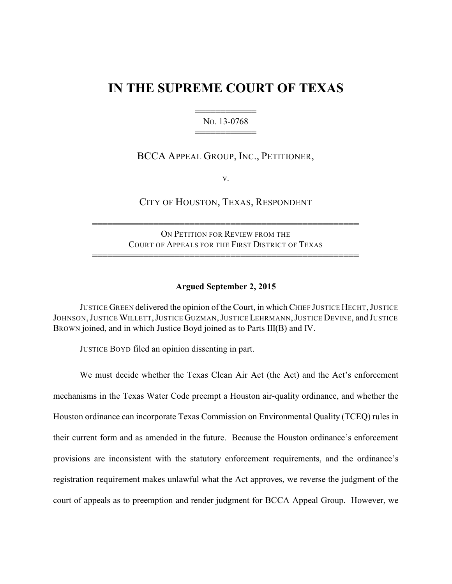# **IN THE SUPREME COURT OF TEXAS**

444444444444 NO. 13-0768 444444444444

## BCCA APPEAL GROUP, INC., PETITIONER,

v.

CITY OF HOUSTON, TEXAS, RESPONDENT

ON PETITION FOR REVIEW FROM THE COURT OF APPEALS FOR THE FIRST DISTRICT OF TEXAS

4444444444444444444444444444444444444444444444444444

4444444444444444444444444444444444444444444444444444

### **Argued September 2, 2015**

JUSTICE GREEN delivered the opinion of the Court, in which CHIEF JUSTICE HECHT,JUSTICE JOHNSON,JUSTICE WILLETT,JUSTICE GUZMAN,JUSTICE LEHRMANN,JUSTICE DEVINE, and JUSTICE BROWN joined, and in which Justice Boyd joined as to Parts III(B) and IV.

JUSTICE BOYD filed an opinion dissenting in part.

We must decide whether the Texas Clean Air Act (the Act) and the Act's enforcement mechanisms in the Texas Water Code preempt a Houston air-quality ordinance, and whether the Houston ordinance can incorporate Texas Commission on Environmental Quality (TCEQ) rules in their current form and as amended in the future. Because the Houston ordinance's enforcement provisions are inconsistent with the statutory enforcement requirements, and the ordinance's registration requirement makes unlawful what the Act approves, we reverse the judgment of the court of appeals as to preemption and render judgment for BCCA Appeal Group. However, we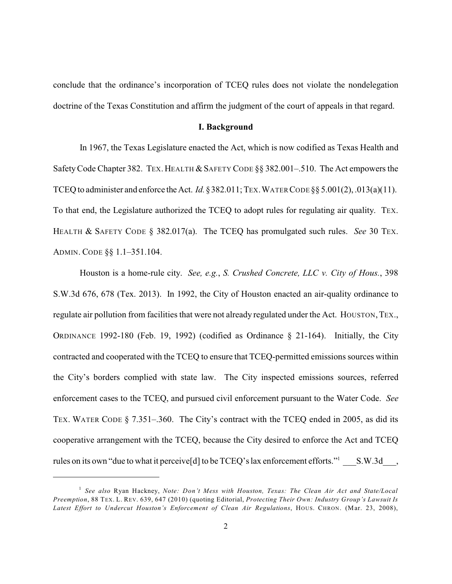conclude that the ordinance's incorporation of TCEQ rules does not violate the nondelegation doctrine of the Texas Constitution and affirm the judgment of the court of appeals in that regard.

## **I. Background**

In 1967, the Texas Legislature enacted the Act, which is now codified as Texas Health and Safety Code Chapter 382. TEX. HEALTH & SAFETY CODE §§ 382.001-.510. The Act empowers the TCEQ to administer and enforce theAct. *Id.*§382.011; TEX.WATER CODE §§ 5.001(2), .013(a)(11). To that end, the Legislature authorized the TCEQ to adopt rules for regulating air quality. TEX. HEALTH & SAFETY CODE § 382.017(a). The TCEQ has promulgated such rules. *See* 30 TEX. ADMIN. CODE §§ 1.1–351.104.

Houston is a home-rule city. *See, e.g.*, *S. Crushed Concrete, LLC v. City of Hous.*, 398 S.W.3d 676, 678 (Tex. 2013). In 1992, the City of Houston enacted an air-quality ordinance to regulate air pollution from facilities that were not already regulated under the Act. HOUSTON, TEX., ORDINANCE 1992-180 (Feb. 19, 1992) (codified as Ordinance § 21-164). Initially, the City contracted and cooperated with the TCEQ to ensure that TCEQ-permitted emissions sources within the City's borders complied with state law. The City inspected emissions sources, referred enforcement cases to the TCEQ, and pursued civil enforcement pursuant to the Water Code. *See* TEX. WATER CODE § 7.351–.360. The City's contract with the TCEQ ended in 2005, as did its cooperative arrangement with the TCEQ, because the City desired to enforce the Act and TCEQ rules on its own "due to what it perceive[d] to be TCEQ's lax enforcement efforts." S.W.3d.,

*See also* Ryan Hackney, *Note: Don't Mess with Houston, Texas: The Clean Air Act and State/Local* 1 *Preemption*, 88 TEX. L. REV. 639, 647 (2010) (quoting Editorial, *Protecting Their Own: Industry Group's Lawsuit Is Latest Effort to Undercut Houston's Enforcement of Clean Air Regulations*, HOUS. CHRON. (Mar. 23, 2008),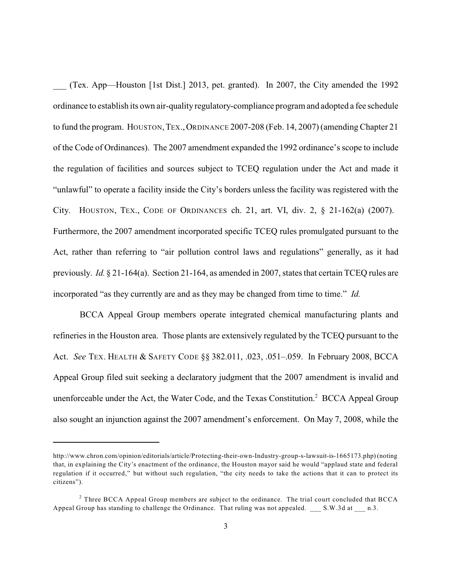\_\_\_ (Tex. App—Houston [1st Dist.] 2013, pet. granted). In 2007, the City amended the 1992 ordinance to establish its own air-quality regulatory-compliance program and adopted a fee schedule to fund the program. HOUSTON, TEX., ORDINANCE 2007-208 (Feb. 14, 2007) (amending Chapter 21 of the Code of Ordinances). The 2007 amendment expanded the 1992 ordinance's scope to include the regulation of facilities and sources subject to TCEQ regulation under the Act and made it "unlawful" to operate a facility inside the City's borders unless the facility was registered with the City. HOUSTON, TEX., CODE OF ORDINANCES ch. 21, art. VI, div. 2, § 21-162(a) (2007). Furthermore, the 2007 amendment incorporated specific TCEQ rules promulgated pursuant to the Act, rather than referring to "air pollution control laws and regulations" generally, as it had previously. *Id.* § 21-164(a). Section 21-164, as amended in 2007, states that certain TCEQ rules are incorporated "as they currently are and as they may be changed from time to time." *Id.*

BCCA Appeal Group members operate integrated chemical manufacturing plants and refineries in the Houston area. Those plants are extensively regulated by the TCEQ pursuant to the Act. *See* TEX. HEALTH & SAFETY CODE §§ 382.011, .023, .051–.059. In February 2008, BCCA Appeal Group filed suit seeking a declaratory judgment that the 2007 amendment is invalid and unenforceable under the Act, the Water Code, and the Texas Constitution.<sup>2</sup> BCCA Appeal Group also sought an injunction against the 2007 amendment's enforcement. On May 7, 2008, while the

http://www.chron.com/opinion/editorials/article/Protecting-their-own-Industry-group-s-lawsuit-is-1665173.php) (noting that, in explaining the City's enactment of the ordinance, the Houston mayor said he would "applaud state and federal regulation if it occurred," but without such regulation, "the city needs to take the actions that it can to protect its citizens").

 $2$  Three BCCA Appeal Group members are subject to the ordinance. The trial court concluded that BCCA Appeal Group has standing to challenge the Ordinance. That ruling was not appealed. \_\_\_ S.W.3d at \_\_\_ n.3.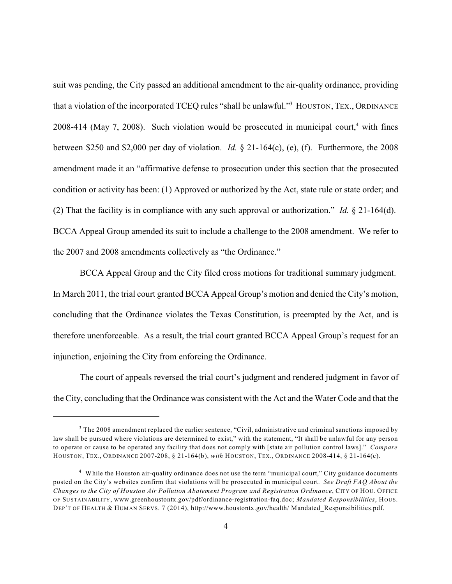suit was pending, the City passed an additional amendment to the air-quality ordinance, providing that a violation of the incorporated TCEQ rules "shall be unlawful."<sup>3</sup> HOUSTON, TEX., ORDINANCE 2008-414 (May 7, 2008). Such violation would be prosecuted in municipal court,<sup>4</sup> with fines between \$250 and \$2,000 per day of violation. *Id.* § 21-164(c), (e), (f). Furthermore, the 2008 amendment made it an "affirmative defense to prosecution under this section that the prosecuted condition or activity has been: (1) Approved or authorized by the Act, state rule or state order; and (2) That the facility is in compliance with any such approval or authorization." *Id.* § 21-164(d). BCCA Appeal Group amended its suit to include a challenge to the 2008 amendment. We refer to the 2007 and 2008 amendments collectively as "the Ordinance."

BCCA Appeal Group and the City filed cross motions for traditional summary judgment. In March 2011, the trial court granted BCCA Appeal Group's motion and denied the City's motion, concluding that the Ordinance violates the Texas Constitution, is preempted by the Act, and is therefore unenforceable. As a result, the trial court granted BCCA Appeal Group's request for an injunction, enjoining the City from enforcing the Ordinance.

The court of appeals reversed the trial court's judgment and rendered judgment in favor of the City, concluding that the Ordinance was consistent with the Act and the Water Code and that the

 $3$  The 2008 amendment replaced the earlier sentence, "Civil, administrative and criminal sanctions imposed by law shall be pursued where violations are determined to exist," with the statement, "It shall be unlawful for any person to operate or cause to be operated any facility that does not comply with [state air pollution control laws]." *Compare* HOUSTON, TEX., ORDINANCE 2007-208, § 21-164(b), *with* HOUSTON, TEX., ORDINANCE 2008-414, § 21-164(c).

<sup>&</sup>lt;sup>4</sup> While the Houston air-quality ordinance does not use the term "municipal court," City guidance documents posted on the City's websites confirm that violations will be prosecuted in municipal court. *See Draft FAQ About the Changes to the City of Houston Air Pollution Abatement Program and Registration Ordinance*, CITY OF HOU. OFFICE OF SUSTAINABILITY, www.greenhoustontx.gov/pdf/ordinance-registration-faq.doc; *Mandated Responsibilities*, HOUS. DEP'T OF HEALTH & HUMAN SERVS. 7 (2014), http://www.houstontx.gov/health/ Mandated\_Responsibilities.pdf.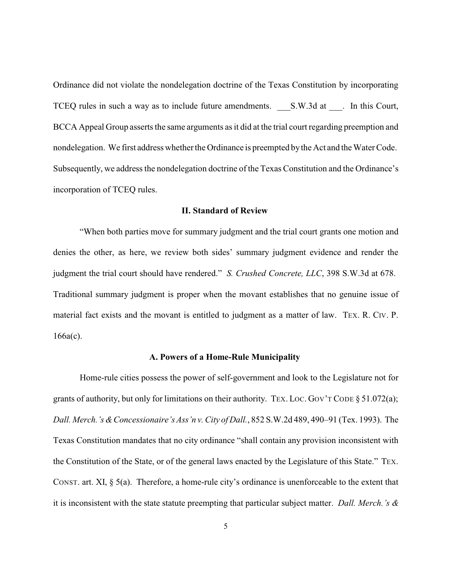Ordinance did not violate the nondelegation doctrine of the Texas Constitution by incorporating TCEQ rules in such a way as to include future amendments. S.W.3d at \_\_\_. In this Court, BCCA Appeal Group asserts the same arguments as it did at the trial court regarding preemption and nondelegation. We first address whether the Ordinance is preempted by the Act and the Water Code. Subsequently, we address the nondelegation doctrine of the Texas Constitution and the Ordinance's incorporation of TCEQ rules.

## **II. Standard of Review**

"When both parties move for summary judgment and the trial court grants one motion and denies the other, as here, we review both sides' summary judgment evidence and render the judgment the trial court should have rendered." *S. Crushed Concrete, LLC*, 398 S.W.3d at 678. Traditional summary judgment is proper when the movant establishes that no genuine issue of material fact exists and the movant is entitled to judgment as a matter of law. TEX. R. CIV. P. 166a(c).

## **A. Powers of a Home-Rule Municipality**

Home-rule cities possess the power of self-government and look to the Legislature not for grants of authority, but only for limitations on their authority. Tex. Loc. Gov't Code  $\S 51.072(a)$ ; *Dall. Merch.'s &Concessionaire's Ass'n v. City of Dall.*, 852 S.W.2d 489, 490–91 (Tex. 1993). The Texas Constitution mandates that no city ordinance "shall contain any provision inconsistent with the Constitution of the State, or of the general laws enacted by the Legislature of this State." TEX. CONST. art. XI, § 5(a). Therefore, a home-rule city's ordinance is unenforceable to the extent that it is inconsistent with the state statute preempting that particular subject matter. *Dall. Merch.'s &*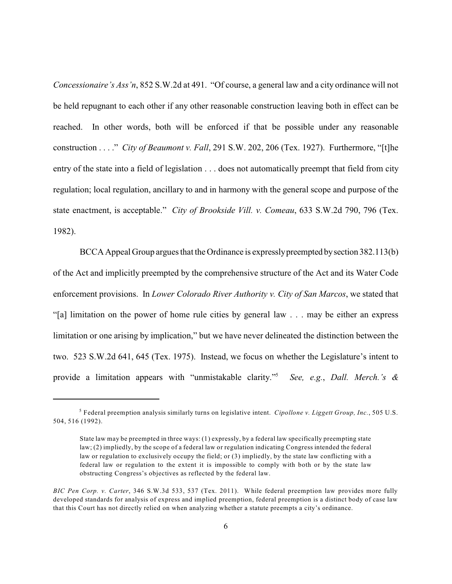*Concessionaire's Ass'n*, 852 S.W.2d at 491. "Of course, a general law and a city ordinance will not be held repugnant to each other if any other reasonable construction leaving both in effect can be reached. In other words, both will be enforced if that be possible under any reasonable construction . . . ." *City of Beaumont v. Fall*, 291 S.W. 202, 206 (Tex. 1927). Furthermore, "[t]he entry of the state into a field of legislation . . . does not automatically preempt that field from city regulation; local regulation, ancillary to and in harmony with the general scope and purpose of the state enactment, is acceptable." *City of Brookside Vill. v. Comeau*, 633 S.W.2d 790, 796 (Tex. 1982).

BCCA Appeal Group argues that the Ordinance is expresslypreempted bysection 382.113(b) of the Act and implicitly preempted by the comprehensive structure of the Act and its Water Code enforcement provisions. In *Lower Colorado River Authority v. City of San Marcos*, we stated that "[a] limitation on the power of home rule cities by general law . . . may be either an express limitation or one arising by implication," but we have never delineated the distinction between the two. 523 S.W.2d 641, 645 (Tex. 1975). Instead, we focus on whether the Legislature's intent to provide a limitation appears with "unmistakable clarity." *See, e.g.*, *Dall. Merch.'s &* 5

<sup>&</sup>lt;sup>5</sup> Federal preemption analysis similarly turns on legislative intent. *Cipollone v. Liggett Group, Inc.*, 505 U.S. 504, 516 (1992).

State law may be preempted in three ways: (1) expressly, by a federal law specifically preempting state law; (2) impliedly, by the scope of a federal law or regulation indicating Congress intended the federal law or regulation to exclusively occupy the field; or (3) impliedly, by the state law conflicting with a federal law or regulation to the extent it is impossible to comply with both or by the state law obstructing Congress's objectives as reflected by the federal law.

*BIC Pen Corp. v. Carter*, 346 S.W.3d 533, 537 (Tex. 2011). While federal preemption law provides more fully developed standards for analysis of express and implied preemption, federal preemption is a distinct body of case law that this Court has not directly relied on when analyzing whether a statute preempts a city's ordinance.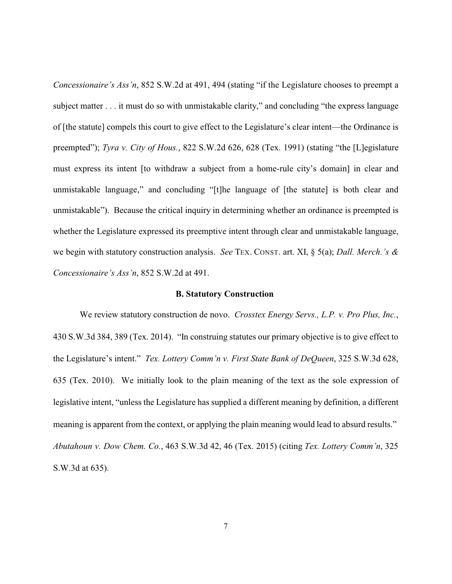*Concessionaire's Ass'n*, 852 S.W.2d at 491, 494 (stating "if the Legislature chooses to preempt a subject matter . . . it must do so with unmistakable clarity," and concluding "the express language of [the statute] compels this court to give effect to the Legislature's clear intent—the Ordinance is preempted"); *Tyra v. City of Hous.*, 822 S.W.2d 626, 628 (Tex. 1991) (stating "the [L]egislature must express its intent [to withdraw a subject from a home-rule city's domain] in clear and unmistakable language," and concluding "[t]he language of [the statute] is both clear and unmistakable"). Because the critical inquiry in determining whether an ordinance is preempted is whether the Legislature expressed its preemptive intent through clear and unmistakable language, we begin with statutory construction analysis. *See* TEX. CONST. art. XI, § 5(a); *Dall. Merch.'s & Concessionaire's Ass'n*, 852 S.W.2d at 491.

## **B. Statutory Construction**

We review statutory construction de novo. *Crosstex Energy Servs., L.P. v. Pro Plus, Inc.*, 430 S.W.3d 384, 389 (Tex. 2014). "In construing statutes our primary objective is to give effect to the Legislature's intent." *Tex. Lottery Comm'n v. First State Bank of DeQueen*, 325 S.W.3d 628, 635 (Tex. 2010). We initially look to the plain meaning of the text as the sole expression of legislative intent, "unless the Legislature has supplied a different meaning by definition, a different meaning is apparent from the context, or applying the plain meaning would lead to absurd results." *Abutahoun v. Dow Chem. Co.*, 463 S.W.3d 42, 46 (Tex. 2015) (citing *Tex. Lottery Comm'n*, 325 S.W.3d at 635).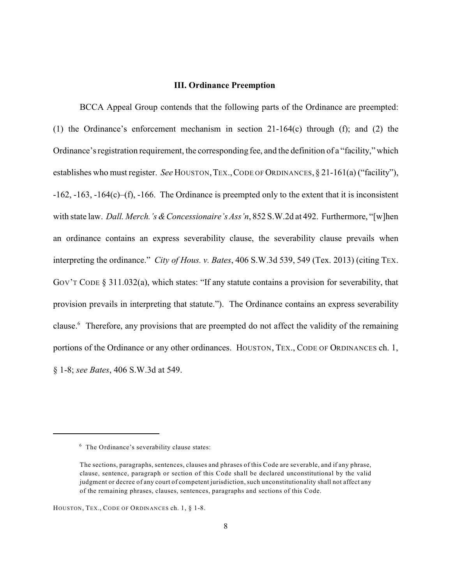## **III. Ordinance Preemption**

BCCA Appeal Group contends that the following parts of the Ordinance are preempted: (1) the Ordinance's enforcement mechanism in section 21-164(c) through (f); and (2) the Ordinance's registration requirement, the corresponding fee, and the definition of a "facility," which establishes who must register. *See* HOUSTON, TEX., CODE OF ORDINANCES, § 21-161(a) ("facility"), -162, -163, -164(c)–(f), -166. The Ordinance is preempted only to the extent that it is inconsistent with state law. *Dall. Merch.'s & Concessionaire's Ass'n*, 852 S.W.2d at 492. Furthermore, "[w]hen an ordinance contains an express severability clause, the severability clause prevails when interpreting the ordinance." *City of Hous. v. Bates*, 406 S.W.3d 539, 549 (Tex. 2013) (citing TEX. GOV'T CODE § 311.032(a), which states: "If any statute contains a provision for severability, that provision prevails in interpreting that statute."). The Ordinance contains an express severability clause.<sup>6</sup> Therefore, any provisions that are preempted do not affect the validity of the remaining portions of the Ordinance or any other ordinances. HOUSTON, TEX., CODE OF ORDINANCES ch. 1, § 1-8; *see Bates*, 406 S.W.3d at 549.

 $6$  The Ordinance's severability clause states:

The sections, paragraphs, sentences, clauses and phrases of this Code are severable, and if any phrase, clause, sentence, paragraph or section of this Code shall be declared unconstitutional by the valid judgment or decree of any court of competent jurisdiction, such unconstitutionality shall not affect any of the remaining phrases, clauses, sentences, paragraphs and sections of this Code.

HOUSTON, TEX., CODE OF ORDINANCES ch. 1, § 1-8.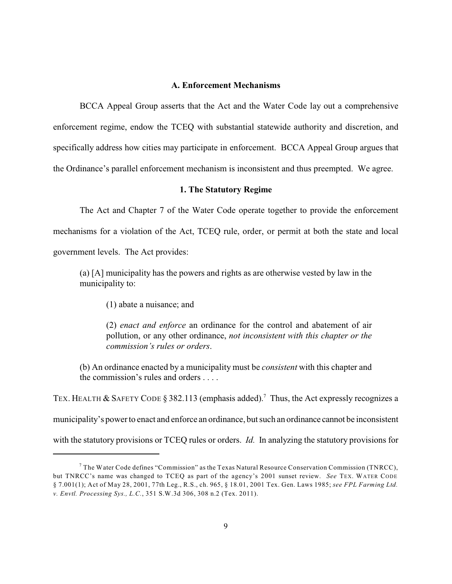## **A. Enforcement Mechanisms**

BCCA Appeal Group asserts that the Act and the Water Code lay out a comprehensive enforcement regime, endow the TCEQ with substantial statewide authority and discretion, and specifically address how cities may participate in enforcement. BCCA Appeal Group argues that the Ordinance's parallel enforcement mechanism is inconsistent and thus preempted. We agree.

## **1. The Statutory Regime**

The Act and Chapter 7 of the Water Code operate together to provide the enforcement mechanisms for a violation of the Act, TCEQ rule, order, or permit at both the state and local government levels. The Act provides:

(a) [A] municipality has the powers and rights as are otherwise vested by law in the municipality to:

(1) abate a nuisance; and

(2) *enact and enforce* an ordinance for the control and abatement of air pollution, or any other ordinance, *not inconsistent with this chapter or the commission's rules or orders*.

(b) An ordinance enacted by a municipality must be *consistent* with this chapter and the commission's rules and orders . . . .

TEX. HEALTH & SAFETY CODE § 382.113 (emphasis added).<sup>7</sup> Thus, the Act expressly recognizes a municipality's powerto enact and enforce an ordinance, but such an ordinance cannot be inconsistent with the statutory provisions or TCEQ rules or orders. *Id.* In analyzing the statutory provisions for

 $^7$  The Water Code defines "Commission" as the Texas Natural Resource Conservation Commission (TNRCC), but TNRCC's name was changed to TCEQ as part of the agency's 2001 sunset review. *See* TEX. WATER CODE § 7.001(1); Act of May 28, 2001, 77th Leg., R.S., ch. 965, § 18.01, 2001 Tex. Gen. Laws 1985; *see FPL Farming Ltd. v. Envtl. Processing Sys., L.C.*, 351 S.W.3d 306, 308 n.2 (Tex. 2011).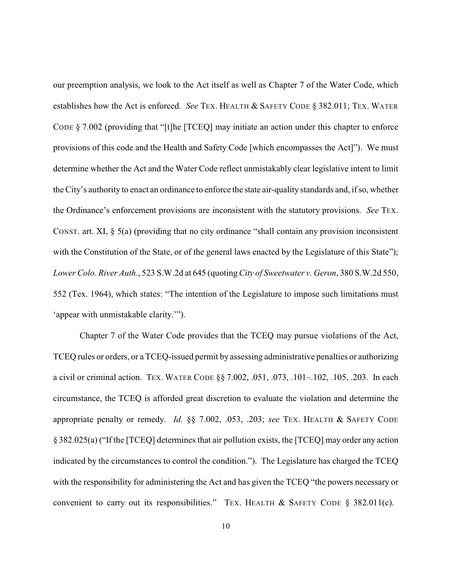our preemption analysis, we look to the Act itself as well as Chapter 7 of the Water Code, which establishes how the Act is enforced. *See* TEX. HEALTH & SAFETY CODE § 382.011; TEX. WATER CODE § 7.002 (providing that "[t]he [TCEQ] may initiate an action under this chapter to enforce provisions of this code and the Health and Safety Code [which encompasses the Act]"). We must determine whether the Act and the Water Code reflect unmistakably clear legislative intent to limit the City's authority to enact an ordinance to enforce the state air-quality standards and, if so, whether the Ordinance's enforcement provisions are inconsistent with the statutory provisions. *See* TEX. CONST. art. XI, § 5(a) (providing that no city ordinance "shall contain any provision inconsistent with the Constitution of the State, or of the general laws enacted by the Legislature of this State"); *Lower Colo. River Auth.*, 523 S.W.2d at 645 (quoting*City of Sweetwater v. Geron*, 380 S.W.2d 550, 552 (Tex. 1964), which states: "The intention of the Legislature to impose such limitations must 'appear with unmistakable clarity.'").

Chapter 7 of the Water Code provides that the TCEQ may pursue violations of the Act, TCEQ rules or orders, or a TCEQ-issued permit by assessing administrative penalties or authorizing a civil or criminal action. TEX. WATER CODE §§ 7.002, .051, .073, .101–.102, .105, .203. In each circumstance, the TCEQ is afforded great discretion to evaluate the violation and determine the appropriate penalty or remedy. *Id.* §§ 7.002, .053, .203; *see* TEX. HEALTH & SAFETY CODE § 382.025(a) ("If the [TCEQ] determines that air pollution exists, the [TCEQ] may order any action indicated by the circumstances to control the condition."). The Legislature has charged the TCEQ with the responsibility for administering the Act and has given the TCEQ "the powers necessary or convenient to carry out its responsibilities." TEX. HEALTH & SAFETY CODE  $\S$  382.011(c).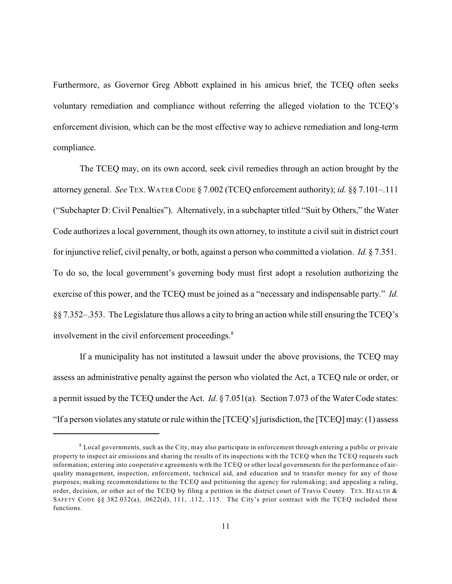Furthermore, as Governor Greg Abbott explained in his amicus brief, the TCEQ often seeks voluntary remediation and compliance without referring the alleged violation to the TCEQ's enforcement division, which can be the most effective way to achieve remediation and long-term compliance.

The TCEQ may, on its own accord, seek civil remedies through an action brought by the attorney general. *See* TEX.WATER CODE § 7.002 (TCEQ enforcement authority); *id.* §§ 7.101–.111 ("Subchapter D: Civil Penalties"). Alternatively, in a subchapter titled "Suit by Others," the Water Code authorizes a local government, though its own attorney, to institute a civil suit in district court for injunctive relief, civil penalty, or both, against a person who committed a violation. *Id.* § 7.351. To do so, the local government's governing body must first adopt a resolution authorizing the exercise of this power, and the TCEQ must be joined as a "necessary and indispensable party." *Id.* §§ 7.352–.353. The Legislature thus allows a city to bring an action while still ensuring the TCEQ's involvement in the civil enforcement proceedings.<sup>8</sup>

If a municipality has not instituted a lawsuit under the above provisions, the TCEQ may assess an administrative penalty against the person who violated the Act, a TCEQ rule or order, or a permit issued by the TCEQ under the Act. *Id.* § 7.051(a). Section 7.073 of the Water Code states: "If a person violates any statute or rule within the [TCEQ's] jurisdiction, the [TCEQ] may: (1) assess

 $\delta$  Local governments, such as the City, may also participate in enforcement through entering a public or private property to inspect air emissions and sharing the results of its inspections with the TCEQ when the TCEQ requests such information; entering into cooperative agreements with the TCEQ or other local governments for the performance of airquality management, inspection, enforcement, technical aid, and education and to transfer money for any of those purposes; making recommendations to the TCEQ and petitioning the agency for rulemaking; and appealing a ruling, order, decision, or other act of the TCEQ by filing a petition in the district court of Travis County. TEX. HEALTH  $\&$ SAFETY CODE §§ 382.032(a), .0622(d), 111, .112, .115. The City's prior contract with the TCEQ included these functions.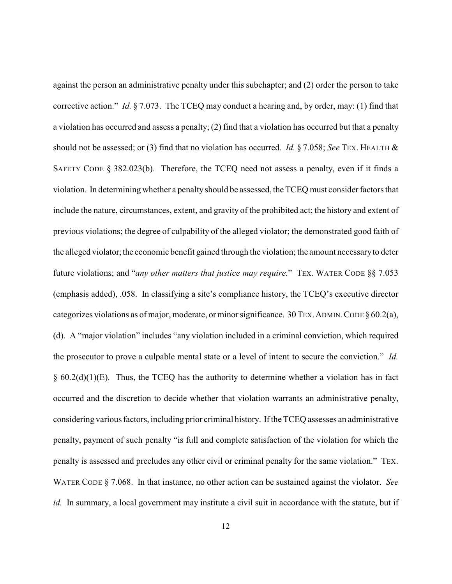against the person an administrative penalty under this subchapter; and (2) order the person to take corrective action." *Id.* § 7.073. The TCEQ may conduct a hearing and, by order, may: (1) find that a violation has occurred and assess a penalty; (2) find that a violation has occurred but that a penalty should not be assessed; or (3) find that no violation has occurred. *Id.* § 7.058; *See* TEX. HEALTH & SAFETY CODE § 382.023(b). Therefore, the TCEQ need not assess a penalty, even if it finds a violation. In determining whether a penalty should be assessed, the TCEQ must consider factors that include the nature, circumstances, extent, and gravity of the prohibited act; the history and extent of previous violations; the degree of culpability of the alleged violator; the demonstrated good faith of the alleged violator; the economic benefit gained through the violation; the amount necessaryto deter future violations; and "*any other matters that justice may require.*" TEX. WATER CODE §§ 7.053 (emphasis added), .058. In classifying a site's compliance history, the TCEQ's executive director categorizes violations as of major, moderate, or minor significance. 30 TEX.ADMIN.CODE § 60.2(a), (d). A "major violation" includes "any violation included in a criminal conviction, which required the prosecutor to prove a culpable mental state or a level of intent to secure the conviction." *Id.*  $§ 60.2(d)(1)(E)$ . Thus, the TCEQ has the authority to determine whether a violation has in fact occurred and the discretion to decide whether that violation warrants an administrative penalty, considering various factors, including prior criminal history. If the TCEQ assesses an administrative penalty, payment of such penalty "is full and complete satisfaction of the violation for which the penalty is assessed and precludes any other civil or criminal penalty for the same violation." TEX. WATER CODE § 7.068. In that instance, no other action can be sustained against the violator. *See id.* In summary, a local government may institute a civil suit in accordance with the statute, but if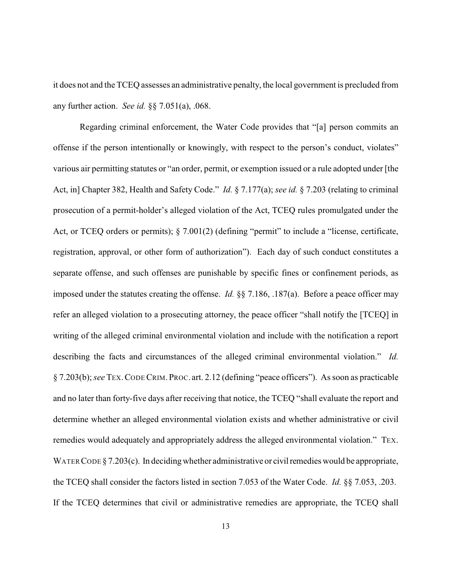it does not and the TCEQ assesses an administrative penalty, the local government is precluded from any further action. *See id.* §§ 7.051(a), .068.

Regarding criminal enforcement, the Water Code provides that "[a] person commits an offense if the person intentionally or knowingly, with respect to the person's conduct, violates" various air permitting statutes or "an order, permit, or exemption issued or a rule adopted under [the Act, in] Chapter 382, Health and Safety Code." *Id.* § 7.177(a); *see id.* § 7.203 (relating to criminal prosecution of a permit-holder's alleged violation of the Act, TCEQ rules promulgated under the Act, or TCEQ orders or permits); § 7.001(2) (defining "permit" to include a "license, certificate, registration, approval, or other form of authorization"). Each day of such conduct constitutes a separate offense, and such offenses are punishable by specific fines or confinement periods, as imposed under the statutes creating the offense. *Id.* §§ 7.186, .187(a). Before a peace officer may refer an alleged violation to a prosecuting attorney, the peace officer "shall notify the [TCEQ] in writing of the alleged criminal environmental violation and include with the notification a report describing the facts and circumstances of the alleged criminal environmental violation." *Id.* § 7.203(b); *see* TEX.CODECRIM.PROC. art. 2.12 (defining "peace officers"). As soon as practicable and no later than forty-five days after receiving that notice, the TCEQ "shall evaluate the report and determine whether an alleged environmental violation exists and whether administrative or civil remedies would adequately and appropriately address the alleged environmental violation." TEX. WATER CODE  $\S 7.203(c)$ . In deciding whether administrative or civil remedies would be appropriate, the TCEQ shall consider the factors listed in section 7.053 of the Water Code. *Id.* §§ 7.053, .203. If the TCEQ determines that civil or administrative remedies are appropriate, the TCEQ shall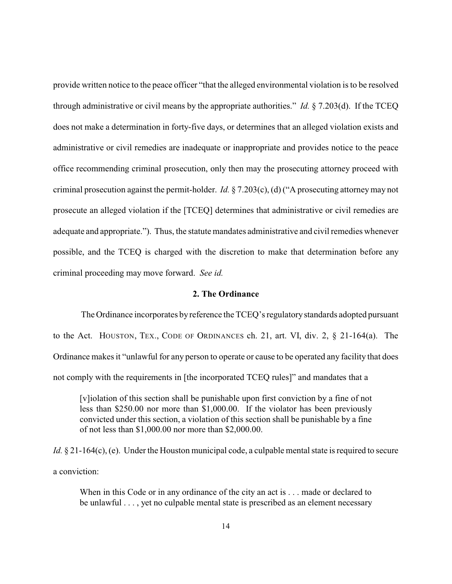provide written notice to the peace officer "that the alleged environmental violation is to be resolved through administrative or civil means by the appropriate authorities." *Id.* § 7.203(d). If the TCEQ does not make a determination in forty-five days, or determines that an alleged violation exists and administrative or civil remedies are inadequate or inappropriate and provides notice to the peace office recommending criminal prosecution, only then may the prosecuting attorney proceed with criminal prosecution against the permit-holder. *Id.* § 7.203(c), (d) ("A prosecuting attorneymay not prosecute an alleged violation if the [TCEQ] determines that administrative or civil remedies are adequate and appropriate."). Thus, the statute mandates administrative and civil remedies whenever possible, and the TCEQ is charged with the discretion to make that determination before any criminal proceeding may move forward. *See id.*

#### **2. The Ordinance**

The Ordinance incorporates by reference the TCEQ's regulatory standards adopted pursuant to the Act. HOUSTON, TEX., CODE OF ORDINANCES ch. 21, art. VI, div. 2, § 21-164(a). The Ordinance makes it "unlawful for any person to operate or cause to be operated any facility that does not comply with the requirements in [the incorporated TCEQ rules]" and mandates that a

[v]iolation of this section shall be punishable upon first conviction by a fine of not less than \$250.00 nor more than \$1,000.00. If the violator has been previously convicted under this section, a violation of this section shall be punishable by a fine of not less than \$1,000.00 nor more than \$2,000.00.

*Id.* § 21-164(c), (e). Under the Houston municipal code, a culpable mental state is required to secure a conviction:

When in this Code or in any ordinance of the city an act is . . . made or declared to be unlawful . . . , yet no culpable mental state is prescribed as an element necessary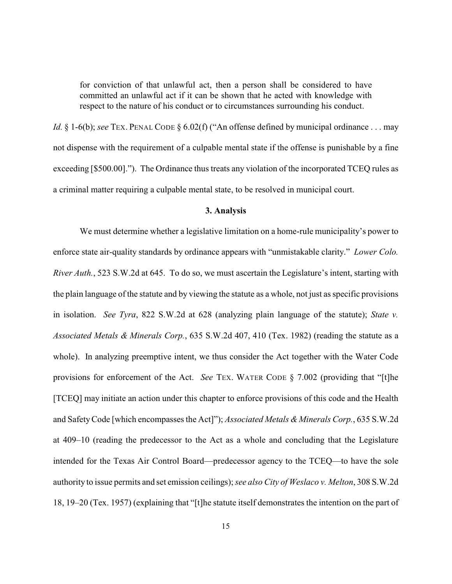for conviction of that unlawful act, then a person shall be considered to have committed an unlawful act if it can be shown that he acted with knowledge with respect to the nature of his conduct or to circumstances surrounding his conduct.

*Id.* § 1-6(b); *see* TEX. PENAL CODE § 6.02(f) ("An offense defined by municipal ordinance . . . may not dispense with the requirement of a culpable mental state if the offense is punishable by a fine exceeding [\$500.00]."). The Ordinance thus treats any violation of the incorporated TCEQ rules as a criminal matter requiring a culpable mental state, to be resolved in municipal court.

## **3. Analysis**

We must determine whether a legislative limitation on a home-rule municipality's power to enforce state air-quality standards by ordinance appears with "unmistakable clarity." *Lower Colo. River Auth.*, 523 S.W.2d at 645. To do so, we must ascertain the Legislature's intent, starting with the plain language of the statute and by viewing the statute as a whole, not just as specific provisions in isolation. *See Tyra*, 822 S.W.2d at 628 (analyzing plain language of the statute); *State v. Associated Metals & Minerals Corp.*, 635 S.W.2d 407, 410 (Tex. 1982) (reading the statute as a whole). In analyzing preemptive intent, we thus consider the Act together with the Water Code provisions for enforcement of the Act. *See* TEX. WATER CODE § 7.002 (providing that "[t]he [TCEQ] may initiate an action under this chapter to enforce provisions of this code and the Health and SafetyCode [which encompasses the Act]"); *Associated Metals & Minerals Corp.*, 635 S.W.2d at 409–10 (reading the predecessor to the Act as a whole and concluding that the Legislature intended for the Texas Air Control Board—predecessor agency to the TCEQ—to have the sole authority to issue permits and set emission ceilings); *see also City of Weslaco v. Melton*, 308 S.W.2d 18, 19–20 (Tex. 1957) (explaining that "[t]he statute itself demonstrates the intention on the part of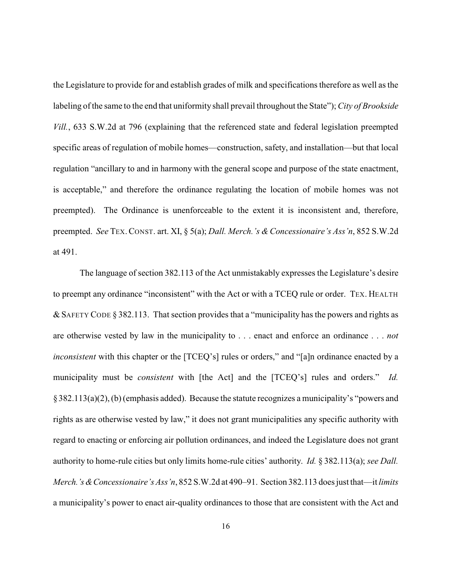the Legislature to provide for and establish grades of milk and specifications therefore as well as the labeling of the same to the end that uniformity shall prevail throughout the State"); *City of Brookside Vill.*, 633 S.W.2d at 796 (explaining that the referenced state and federal legislation preempted specific areas of regulation of mobile homes—construction, safety, and installation—but that local regulation "ancillary to and in harmony with the general scope and purpose of the state enactment, is acceptable," and therefore the ordinance regulating the location of mobile homes was not preempted). The Ordinance is unenforceable to the extent it is inconsistent and, therefore, preempted. *See* TEX.CONST. art. XI, § 5(a); *Dall. Merch.'s & Concessionaire's Ass'n*, 852 S.W.2d at 491.

The language of section 382.113 of the Act unmistakably expresses the Legislature's desire to preempt any ordinance "inconsistent" with the Act or with a TCEQ rule or order. TEX. HEALTH &SAFETY CODE § 382.113. That section provides that a "municipality has the powers and rights as are otherwise vested by law in the municipality to . . . enact and enforce an ordinance . . . *not inconsistent* with this chapter or the [TCEQ's] rules or orders," and "[a]n ordinance enacted by a municipality must be *consistent* with [the Act] and the [TCEQ's] rules and orders." *Id.* §382.113(a)(2), (b) (emphasis added). Because the statute recognizes a municipality's "powers and rights as are otherwise vested by law," it does not grant municipalities any specific authority with regard to enacting or enforcing air pollution ordinances, and indeed the Legislature does not grant authority to home-rule cities but only limits home-rule cities' authority. *Id.* § 382.113(a); *see Dall. Merch.'s&Concessionaire's Ass'n*, 852 S.W.2d at 490–91. Section 382.113 does just that—it *limits* a municipality's power to enact air-quality ordinances to those that are consistent with the Act and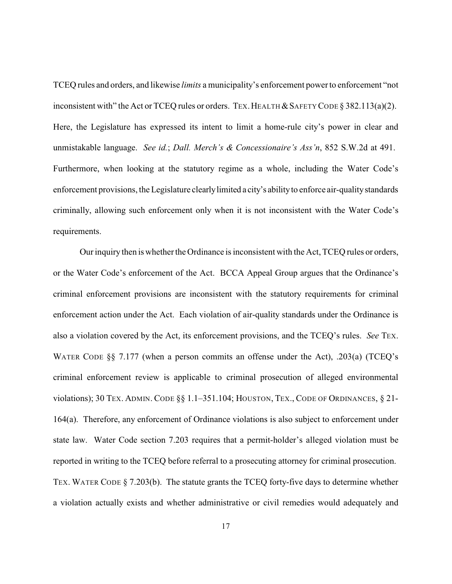TCEQ rules and orders, and likewise *limits* a municipality's enforcement powerto enforcement "not inconsistent with" the Act or TCEQ rules or orders. TEX. HEALTH  $&$  SAFETY CODE § 382.113(a)(2). Here, the Legislature has expressed its intent to limit a home-rule city's power in clear and unmistakable language. *See id.*; *Dall. Merch's & Concessionaire's Ass'n*, 852 S.W.2d at 491. Furthermore, when looking at the statutory regime as a whole, including the Water Code's enforcement provisions, the Legislature clearlylimited a city's abilityto enforce air-qualitystandards criminally, allowing such enforcement only when it is not inconsistent with the Water Code's requirements.

Our inquiry then is whether the Ordinance is inconsistent with the Act, TCEQ rules or orders, or the Water Code's enforcement of the Act. BCCA Appeal Group argues that the Ordinance's criminal enforcement provisions are inconsistent with the statutory requirements for criminal enforcement action under the Act. Each violation of air-quality standards under the Ordinance is also a violation covered by the Act, its enforcement provisions, and the TCEQ's rules. *See* TEX. WATER CODE §§ 7.177 (when a person commits an offense under the Act), .203(a) (TCEQ's criminal enforcement review is applicable to criminal prosecution of alleged environmental violations); 30 TEX. ADMIN. CODE §§ 1.1–351.104; HOUSTON, TEX., CODE OF ORDINANCES, § 21- 164(a). Therefore, any enforcement of Ordinance violations is also subject to enforcement under state law. Water Code section 7.203 requires that a permit-holder's alleged violation must be reported in writing to the TCEQ before referral to a prosecuting attorney for criminal prosecution. TEX. WATER CODE § 7.203(b). The statute grants the TCEQ forty-five days to determine whether a violation actually exists and whether administrative or civil remedies would adequately and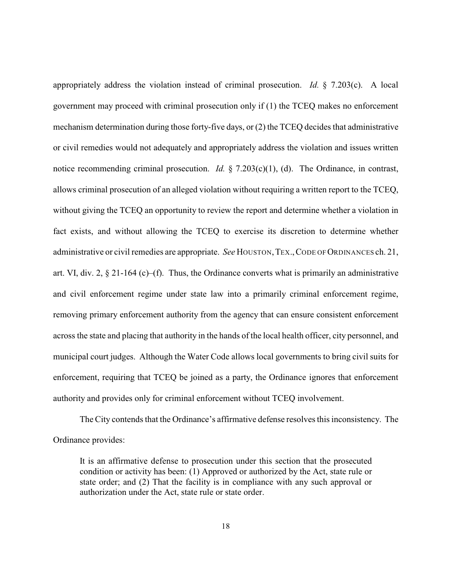appropriately address the violation instead of criminal prosecution. *Id.* § 7.203(c). A local government may proceed with criminal prosecution only if (1) the TCEQ makes no enforcement mechanism determination during those forty-five days, or (2) the TCEQ decides that administrative or civil remedies would not adequately and appropriately address the violation and issues written notice recommending criminal prosecution. *Id.* § 7.203(c)(1), (d). The Ordinance, in contrast, allows criminal prosecution of an alleged violation without requiring a written report to the TCEQ, without giving the TCEQ an opportunity to review the report and determine whether a violation in fact exists, and without allowing the TCEQ to exercise its discretion to determine whether administrative or civil remedies are appropriate. *See* HOUSTON, TEX., CODE OF ORDINANCES ch. 21, art. VI, div. 2,  $\S$  21-164 (c)–(f). Thus, the Ordinance converts what is primarily an administrative and civil enforcement regime under state law into a primarily criminal enforcement regime, removing primary enforcement authority from the agency that can ensure consistent enforcement across the state and placing that authority in the hands of the local health officer, city personnel, and municipal court judges. Although the Water Code allows local governments to bring civil suits for enforcement, requiring that TCEQ be joined as a party, the Ordinance ignores that enforcement authority and provides only for criminal enforcement without TCEQ involvement.

The City contends that the Ordinance's affirmative defense resolves this inconsistency. The Ordinance provides:

It is an affirmative defense to prosecution under this section that the prosecuted condition or activity has been: (1) Approved or authorized by the Act, state rule or state order; and (2) That the facility is in compliance with any such approval or authorization under the Act, state rule or state order.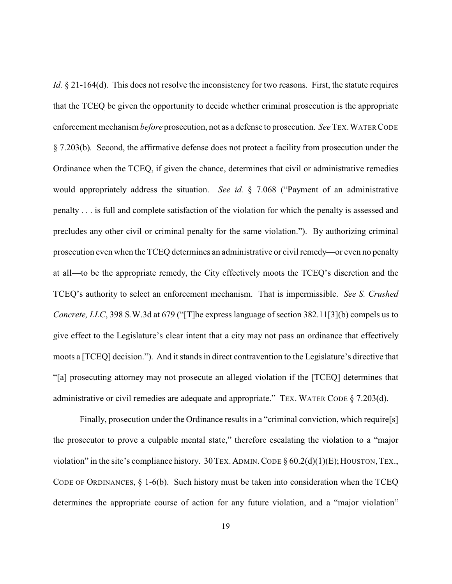*Id.* § 21-164(d). This does not resolve the inconsistency for two reasons. First, the statute requires that the TCEQ be given the opportunity to decide whether criminal prosecution is the appropriate enforcement mechanism *before* prosecution, not as a defense to prosecution. *See* TEX.WATER CODE § 7.203(b)*.* Second, the affirmative defense does not protect a facility from prosecution under the Ordinance when the TCEQ, if given the chance, determines that civil or administrative remedies would appropriately address the situation. *See id.* § 7.068 ("Payment of an administrative penalty . . . is full and complete satisfaction of the violation for which the penalty is assessed and precludes any other civil or criminal penalty for the same violation."). By authorizing criminal prosecution even when the TCEQ determines an administrative or civil remedy—or even no penalty at all—to be the appropriate remedy, the City effectively moots the TCEQ's discretion and the TCEQ's authority to select an enforcement mechanism. That is impermissible. *See S. Crushed Concrete, LLC*, 398 S.W.3d at 679 ("[T]he express language of section 382.11[3](b) compels us to give effect to the Legislature's clear intent that a city may not pass an ordinance that effectively moots a [TCEQ] decision."). And it stands in direct contravention to the Legislature's directive that "[a] prosecuting attorney may not prosecute an alleged violation if the [TCEQ] determines that administrative or civil remedies are adequate and appropriate." TEX. WATER CODE § 7.203(d).

Finally, prosecution under the Ordinance results in a "criminal conviction, which require[s] the prosecutor to prove a culpable mental state," therefore escalating the violation to a "major violation" in the site's compliance history. 30 TEX. ADMIN. CODE  $\S 60.2(d)(1)(E)$ ; HOUSTON, TEX., CODE OF ORDINANCES, § 1-6(b). Such history must be taken into consideration when the TCEQ determines the appropriate course of action for any future violation, and a "major violation"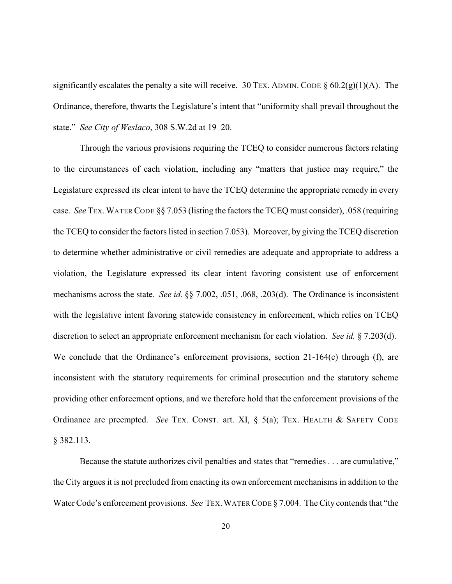significantly escalates the penalty a site will receive. 30 TEX. ADMIN. CODE  $\S 60.2(g)(1)(A)$ . The Ordinance, therefore, thwarts the Legislature's intent that "uniformity shall prevail throughout the state." *See City of Weslaco*, 308 S.W.2d at 19–20.

Through the various provisions requiring the TCEQ to consider numerous factors relating to the circumstances of each violation, including any "matters that justice may require," the Legislature expressed its clear intent to have the TCEQ determine the appropriate remedy in every case. *See* TEX.WATER CODE §§ 7.053 (listing the factors the TCEQ must consider), .058 (requiring the TCEQ to consider the factors listed in section 7.053). Moreover, by giving the TCEQ discretion to determine whether administrative or civil remedies are adequate and appropriate to address a violation, the Legislature expressed its clear intent favoring consistent use of enforcement mechanisms across the state. *See id.* §§ 7.002, .051, .068, .203(d). The Ordinance is inconsistent with the legislative intent favoring statewide consistency in enforcement, which relies on TCEQ discretion to select an appropriate enforcement mechanism for each violation. *See id.* § 7.203(d). We conclude that the Ordinance's enforcement provisions, section 21-164(c) through (f), are inconsistent with the statutory requirements for criminal prosecution and the statutory scheme providing other enforcement options, and we therefore hold that the enforcement provisions of the Ordinance are preempted. *See* TEX. CONST. art. XI, § 5(a); TEX. HEALTH & SAFETY CODE § 382.113.

Because the statute authorizes civil penalties and states that "remedies . . . are cumulative," the City argues it is not precluded from enacting its own enforcement mechanisms in addition to the Water Code's enforcement provisions. *See* TEX.WATER CODE § 7.004. The City contends that "the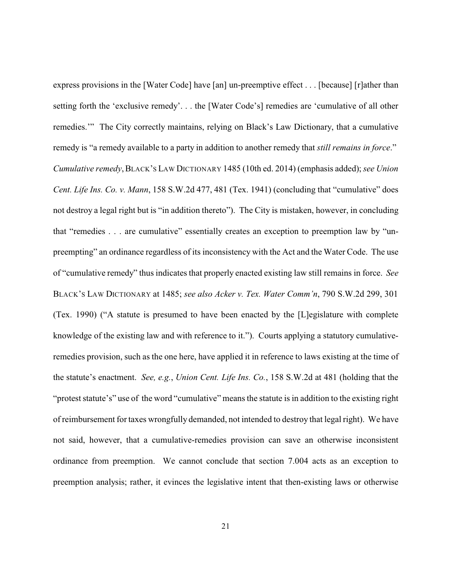express provisions in the [Water Code] have [an] un-preemptive effect . . . [because] [r]ather than setting forth the 'exclusive remedy'. . . the [Water Code's] remedies are 'cumulative of all other remedies.'" The City correctly maintains, relying on Black's Law Dictionary, that a cumulative remedy is "a remedy available to a party in addition to another remedy that *still remains in force*." *Cumulative remedy*,BLACK'S LAW DICTIONARY 1485 (10th ed. 2014) (emphasis added); *see Union Cent. Life Ins. Co. v. Mann*, 158 S.W.2d 477, 481 (Tex. 1941) (concluding that "cumulative" does not destroy a legal right but is "in addition thereto"). The City is mistaken, however, in concluding that "remedies . . . are cumulative" essentially creates an exception to preemption law by "unpreempting" an ordinance regardless of its inconsistency with the Act and the Water Code. The use of "cumulative remedy" thus indicates that properly enacted existing law still remains in force. *See* BLACK'S LAW DICTIONARY at 1485; *see also Acker v. Tex. Water Comm'n*, 790 S.W.2d 299, 301 (Tex. 1990) ("A statute is presumed to have been enacted by the [L]egislature with complete knowledge of the existing law and with reference to it."). Courts applying a statutory cumulativeremedies provision, such as the one here, have applied it in reference to laws existing at the time of the statute's enactment. *See, e.g.*, *Union Cent. Life Ins. Co.*, 158 S.W.2d at 481 (holding that the "protest statute's" use of the word "cumulative" means the statute is in addition to the existing right of reimbursement for taxes wrongfully demanded, not intended to destroy that legal right). We have not said, however, that a cumulative-remedies provision can save an otherwise inconsistent ordinance from preemption. We cannot conclude that section 7.004 acts as an exception to preemption analysis; rather, it evinces the legislative intent that then-existing laws or otherwise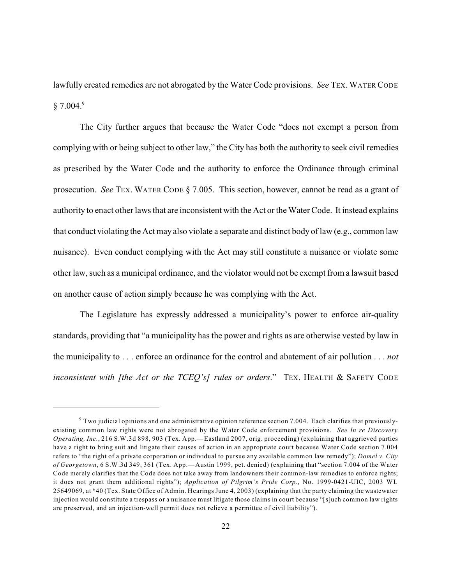lawfully created remedies are not abrogated by the Water Code provisions. *See* TEX. WATER CODE  $§ 7.004.<sup>9</sup>$ 

The City further argues that because the Water Code "does not exempt a person from complying with or being subject to other law," the City has both the authority to seek civil remedies as prescribed by the Water Code and the authority to enforce the Ordinance through criminal prosecution. *See* TEX. WATER CODE § 7.005. This section, however, cannot be read as a grant of authority to enact other laws that are inconsistent with the Act or the Water Code. It instead explains that conduct violating the Act may also violate a separate and distinct body of law (e.g., common law nuisance). Even conduct complying with the Act may still constitute a nuisance or violate some other law, such as a municipal ordinance, and the violator would not be exempt from a lawsuit based on another cause of action simply because he was complying with the Act.

The Legislature has expressly addressed a municipality's power to enforce air-quality standards, providing that "a municipality has the power and rights as are otherwise vested by law in the municipality to . . . enforce an ordinance for the control and abatement of air pollution . . . *not inconsistent with [the Act or the TCEQ's] rules or orders*." TEX. HEALTH & SAFETY CODE

 $9$  Two judicial opinions and one administrative opinion reference section 7.004. Each clarifies that previouslyexisting common law rights were not abrogated by the Water Code enforcement provisions. *See In re Discovery Operating, Inc.*, 216 S.W.3d 898, 903 (Tex. App.—Eastland 2007, orig. proceeding) (explaining that aggrieved parties have a right to bring suit and litigate their causes of action in an appropriate court because Water Code section 7.004 refers to "the right of a private corporation or individual to pursue any available common law remedy"); *Domel v. City of Georgetown*, 6 S.W.3d 349, 361 (Tex. App.—Austin 1999, pet. denied) (explaining that "section 7.004 of the Water Code merely clarifies that the Code does not take away from landowners their common-law remedies to enforce rights; it does not grant them additional rights"); *Application of Pilgrim's Pride Corp.*, No. 1999-0421-UIC, 2003 WL 25649069, at \*40 (Tex. State Office of Admin. Hearings June 4, 2003) (explaining that the party claiming the wastewater injection would constitute a trespass or a nuisance must litigate those claims in court because "[s]uch common law rights are preserved, and an injection-well permit does not relieve a permittee of civil liability").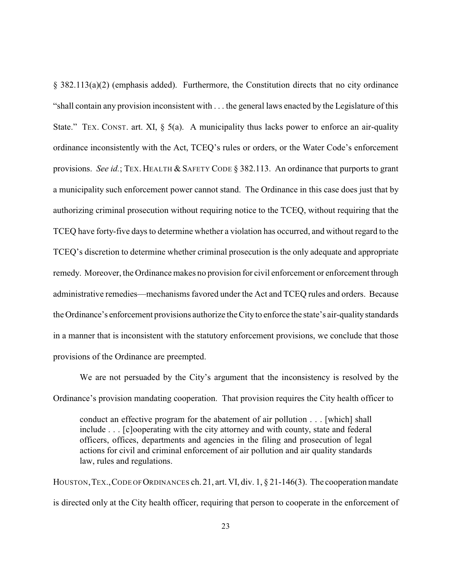§ 382.113(a)(2) (emphasis added). Furthermore, the Constitution directs that no city ordinance "shall contain any provision inconsistent with . . . the general laws enacted by the Legislature of this State." TEX. CONST. art. XI,  $\S$  5(a). A municipality thus lacks power to enforce an air-quality ordinance inconsistently with the Act, TCEQ's rules or orders, or the Water Code's enforcement provisions. *See id.*; TEX. HEALTH & SAFETY CODE § 382.113. An ordinance that purports to grant a municipality such enforcement power cannot stand. The Ordinance in this case does just that by authorizing criminal prosecution without requiring notice to the TCEQ, without requiring that the TCEQ have forty-five days to determine whether a violation has occurred, and without regard to the TCEQ's discretion to determine whether criminal prosecution is the only adequate and appropriate remedy. Moreover, the Ordinance makes no provision for civil enforcement or enforcement through administrative remedies—mechanisms favored under the Act and TCEQ rules and orders. Because the Ordinance's enforcement provisions authorize the City to enforce the state's air-qualitystandards in a manner that is inconsistent with the statutory enforcement provisions, we conclude that those provisions of the Ordinance are preempted.

We are not persuaded by the City's argument that the inconsistency is resolved by the Ordinance's provision mandating cooperation. That provision requires the City health officer to

conduct an effective program for the abatement of air pollution . . . [which] shall include . . . [c]ooperating with the city attorney and with county, state and federal officers, offices, departments and agencies in the filing and prosecution of legal actions for civil and criminal enforcement of air pollution and air quality standards law, rules and regulations.

HOUSTON, TEX., CODE OF ORDINANCES ch. 21, art. VI, div. 1, § 21-146(3). The cooperation mandate is directed only at the City health officer, requiring that person to cooperate in the enforcement of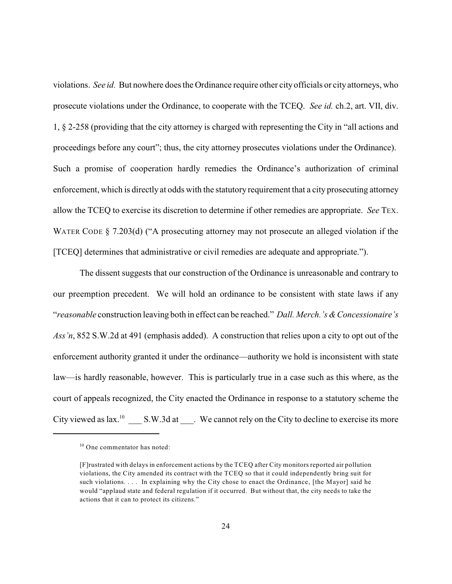violations. *See id.* But nowhere does the Ordinance require other city officials or city attorneys, who prosecute violations under the Ordinance, to cooperate with the TCEQ. *See id.* ch.2, art. VII, div. 1, § 2-258 (providing that the city attorney is charged with representing the City in "all actions and proceedings before any court"; thus, the city attorney prosecutes violations under the Ordinance). Such a promise of cooperation hardly remedies the Ordinance's authorization of criminal enforcement, which is directly at odds with the statutory requirement that a city prosecuting attorney allow the TCEQ to exercise its discretion to determine if other remedies are appropriate. *See* TEX. WATER CODE § 7.203(d) ("A prosecuting attorney may not prosecute an alleged violation if the [TCEQ] determines that administrative or civil remedies are adequate and appropriate.").

The dissent suggests that our construction of the Ordinance is unreasonable and contrary to our preemption precedent. We will hold an ordinance to be consistent with state laws if any "*reasonable* construction leaving both in effect can be reached." *Dall. Merch.'s &Concessionaire's Ass'n*, 852 S.W.2d at 491 (emphasis added). A construction that relies upon a city to opt out of the enforcement authority granted it under the ordinance—authority we hold is inconsistent with state law—is hardly reasonable, however. This is particularly true in a case such as this where, as the court of appeals recognized, the City enacted the Ordinance in response to a statutory scheme the City viewed as  $lax.^{10}$  S.W.3d at  $\therefore$  We cannot rely on the City to decline to exercise its more

<sup>&</sup>lt;sup>10</sup> One commentator has noted:

<sup>[</sup>F]rustrated with delays in enforcement actions by the TCEQ after City monitors reported air pollution violations, the City amended its contract with the TCEQ so that it could independently bring suit for such violations. . . . In explaining why the City chose to enact the Ordinance, [the Mayor] said he would "applaud state and federal regulation if it occurred. But without that, the city needs to take the actions that it can to protect its citizens."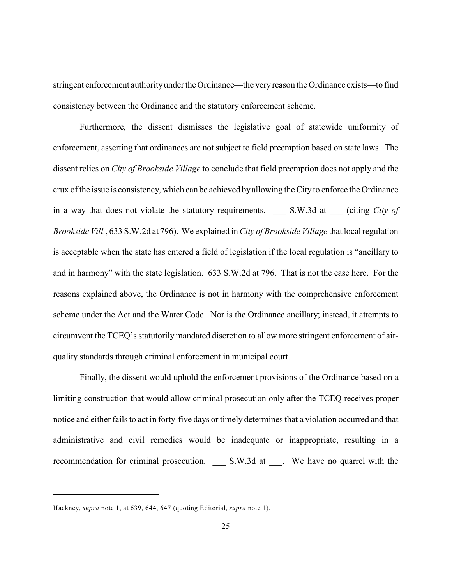stringent enforcement authorityunder the Ordinance—the veryreason the Ordinance exists—to find consistency between the Ordinance and the statutory enforcement scheme.

Furthermore, the dissent dismisses the legislative goal of statewide uniformity of enforcement, asserting that ordinances are not subject to field preemption based on state laws. The dissent relies on *City of Brookside Village* to conclude that field preemption does not apply and the crux of the issue is consistency, which can be achieved byallowing the City to enforce the Ordinance in a way that does not violate the statutory requirements. \_\_\_ S.W.3d at \_\_\_ (citing *City of Brookside Vill.*, 633 S.W.2d at 796). We explained in *City of Brookside Village* that local regulation is acceptable when the state has entered a field of legislation if the local regulation is "ancillary to and in harmony" with the state legislation. 633 S.W.2d at 796. That is not the case here. For the reasons explained above, the Ordinance is not in harmony with the comprehensive enforcement scheme under the Act and the Water Code. Nor is the Ordinance ancillary; instead, it attempts to circumvent the TCEQ's statutorily mandated discretion to allow more stringent enforcement of airquality standards through criminal enforcement in municipal court.

Finally, the dissent would uphold the enforcement provisions of the Ordinance based on a limiting construction that would allow criminal prosecution only after the TCEQ receives proper notice and either fails to act in forty-five days or timely determines that a violation occurred and that administrative and civil remedies would be inadequate or inappropriate, resulting in a recommendation for criminal prosecution. \_\_\_\_ S.W.3d at \_\_\_. We have no quarrel with the

Hackney, *supra* note 1, at 639, 644, 647 (quoting Editorial, *supra* note 1).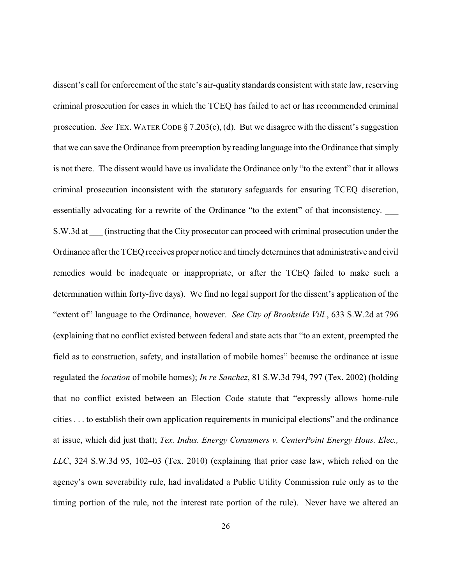dissent's call for enforcement of the state's air-quality standards consistent with state law, reserving criminal prosecution for cases in which the TCEQ has failed to act or has recommended criminal prosecution. *See* TEX. WATER CODE § 7.203(c), (d). But we disagree with the dissent's suggestion that we can save the Ordinance from preemption by reading language into the Ordinance that simply is not there. The dissent would have us invalidate the Ordinance only "to the extent" that it allows criminal prosecution inconsistent with the statutory safeguards for ensuring TCEQ discretion, essentially advocating for a rewrite of the Ordinance "to the extent" of that inconsistency. S.W.3d at (instructing that the City prosecutor can proceed with criminal prosecution under the Ordinance after the TCEQ receives proper notice and timely determines that administrative and civil remedies would be inadequate or inappropriate, or after the TCEQ failed to make such a determination within forty-five days). We find no legal support for the dissent's application of the "extent of" language to the Ordinance, however. *See City of Brookside Vill.*, 633 S.W.2d at 796 (explaining that no conflict existed between federal and state acts that "to an extent, preempted the field as to construction, safety, and installation of mobile homes" because the ordinance at issue regulated the *location* of mobile homes); *In re Sanchez*, 81 S.W.3d 794, 797 (Tex. 2002) (holding that no conflict existed between an Election Code statute that "expressly allows home-rule cities . . . to establish their own application requirements in municipal elections" and the ordinance at issue, which did just that); *Tex. Indus. Energy Consumers v. CenterPoint Energy Hous. Elec., LLC*, 324 S.W.3d 95, 102–03 (Tex. 2010) (explaining that prior case law, which relied on the agency's own severability rule, had invalidated a Public Utility Commission rule only as to the timing portion of the rule, not the interest rate portion of the rule). Never have we altered an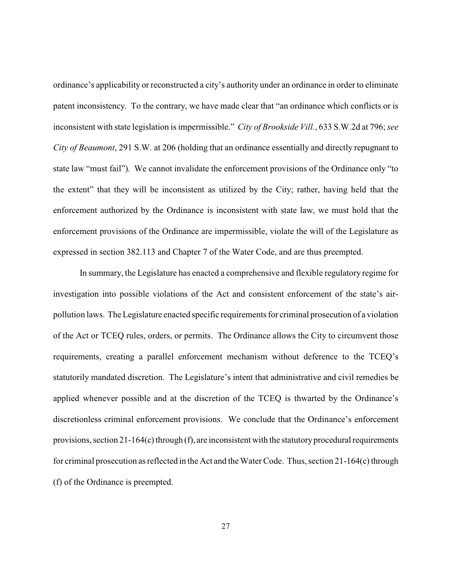ordinance's applicability or reconstructed a city's authority under an ordinance in order to eliminate patent inconsistency. To the contrary, we have made clear that "an ordinance which conflicts or is inconsistent with state legislation is impermissible." *City of Brookside Vill.*, 633 S.W.2d at 796; *see City of Beaumont*, 291 S.W. at 206 (holding that an ordinance essentially and directly repugnant to state law "must fail"). We cannot invalidate the enforcement provisions of the Ordinance only "to the extent" that they will be inconsistent as utilized by the City; rather, having held that the enforcement authorized by the Ordinance is inconsistent with state law, we must hold that the enforcement provisions of the Ordinance are impermissible, violate the will of the Legislature as expressed in section 382.113 and Chapter 7 of the Water Code, and are thus preempted.

In summary, the Legislature has enacted a comprehensive and flexible regulatory regime for investigation into possible violations of the Act and consistent enforcement of the state's airpollution laws. The Legislature enacted specific requirements for criminal prosecution of a violation of the Act or TCEQ rules, orders, or permits. The Ordinance allows the City to circumvent those requirements, creating a parallel enforcement mechanism without deference to the TCEQ's statutorily mandated discretion. The Legislature's intent that administrative and civil remedies be applied whenever possible and at the discretion of the TCEQ is thwarted by the Ordinance's discretionless criminal enforcement provisions. We conclude that the Ordinance's enforcement provisions, section 21-164(c) through (f), are inconsistent with the statutoryprocedural requirements for criminal prosecution as reflected in the Act and the Water Code. Thus, section 21-164(c) through (f) of the Ordinance is preempted.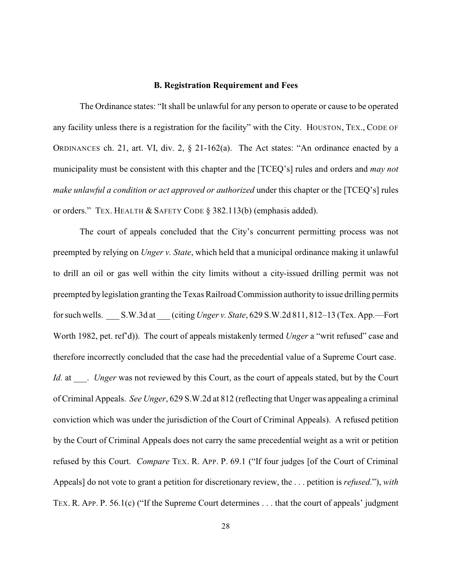## **B. Registration Requirement and Fees**

The Ordinance states: "It shall be unlawful for any person to operate or cause to be operated any facility unless there is a registration for the facility" with the City. HOUSTON, TEX., CODE OF ORDINANCES ch. 21, art. VI, div. 2, § 21-162(a). The Act states: "An ordinance enacted by a municipality must be consistent with this chapter and the [TCEQ's] rules and orders and *may not make unlawful a condition or act approved or authorized* under this chapter or the [TCEQ's] rules or orders." TEX. HEALTH & SAFETY CODE § 382.113(b) (emphasis added).

The court of appeals concluded that the City's concurrent permitting process was not preempted by relying on *Unger v. State*, which held that a municipal ordinance making it unlawful to drill an oil or gas well within the city limits without a city-issued drilling permit was not preempted by legislation granting the Texas Railroad Commission authority to issue drilling permits for such wells. \_\_\_ S.W.3d at \_\_\_ (citing *Unger v. State*, 629 S.W.2d 811, 812–13 (Tex. App.—Fort Worth 1982, pet. ref'd)). The court of appeals mistakenly termed *Unger* a "writ refused" case and therefore incorrectly concluded that the case had the precedential value of a Supreme Court case. *Id.* at *. Unger* was not reviewed by this Court, as the court of appeals stated, but by the Court of Criminal Appeals. *See Unger*, 629 S.W.2d at 812 (reflecting that Unger was appealing a criminal conviction which was under the jurisdiction of the Court of Criminal Appeals). A refused petition by the Court of Criminal Appeals does not carry the same precedential weight as a writ or petition refused by this Court. *Compare* TEX. R. APP. P. 69.1 ("If four judges [of the Court of Criminal Appeals] do not vote to grant a petition for discretionary review, the . . . petition is *refused*."), *with* TEX. R. APP. P. 56.1(c) ("If the Supreme Court determines . . . that the court of appeals' judgment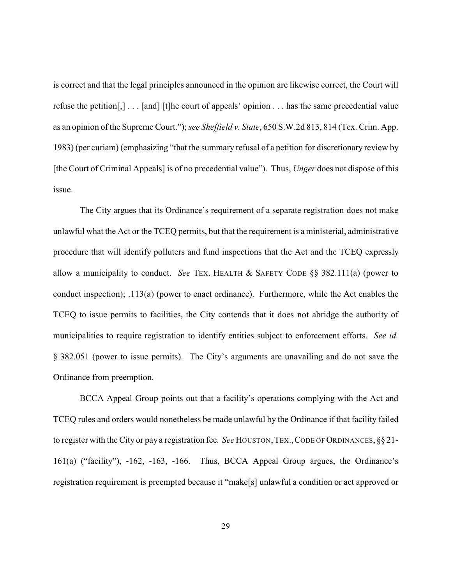is correct and that the legal principles announced in the opinion are likewise correct, the Court will refuse the petition[,] . . . [and] [t]he court of appeals' opinion . . . has the same precedential value as an opinion of the Supreme Court."); *see Sheffield v. State*, 650 S.W.2d 813, 814 (Tex. Crim. App. 1983) (per curiam) (emphasizing "that the summary refusal of a petition for discretionary review by [the Court of Criminal Appeals] is of no precedential value"). Thus, *Unger* does not dispose of this issue.

The City argues that its Ordinance's requirement of a separate registration does not make unlawful what the Act or the TCEQ permits, but that the requirement is a ministerial, administrative procedure that will identify polluters and fund inspections that the Act and the TCEQ expressly allow a municipality to conduct. *See* TEX. HEALTH & SAFETY CODE §§ 382.111(a) (power to conduct inspection); .113(a) (power to enact ordinance). Furthermore, while the Act enables the TCEQ to issue permits to facilities, the City contends that it does not abridge the authority of municipalities to require registration to identify entities subject to enforcement efforts. *See id.* § 382.051 (power to issue permits). The City's arguments are unavailing and do not save the Ordinance from preemption.

BCCA Appeal Group points out that a facility's operations complying with the Act and TCEQ rules and orders would nonetheless be made unlawful by the Ordinance if that facility failed to register with the City or pay a registration fee. *See* HOUSTON, TEX., CODE OF ORDINANCES,  $\S 21$ -161(a) ("facility"), -162, -163, -166. Thus, BCCA Appeal Group argues, the Ordinance's registration requirement is preempted because it "make[s] unlawful a condition or act approved or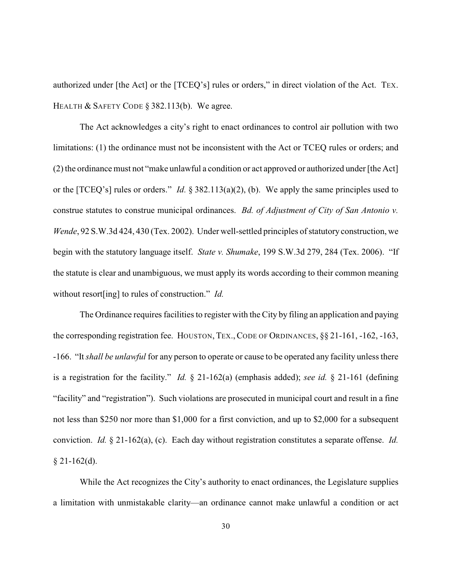authorized under [the Act] or the [TCEQ's] rules or orders," in direct violation of the Act. TEX. HEALTH & SAFETY CODE § 382.113(b). We agree.

The Act acknowledges a city's right to enact ordinances to control air pollution with two limitations: (1) the ordinance must not be inconsistent with the Act or TCEQ rules or orders; and (2) the ordinance must not "make unlawful a condition or act approved or authorized under [the Act] or the [TCEQ's] rules or orders." *Id.* § 382.113(a)(2), (b). We apply the same principles used to construe statutes to construe municipal ordinances. *Bd. of Adjustment of City of San Antonio v. Wende*, 92 S.W.3d 424, 430 (Tex. 2002). Under well-settled principles of statutory construction, we begin with the statutory language itself. *State v. Shumake*, 199 S.W.3d 279, 284 (Tex. 2006). "If the statute is clear and unambiguous, we must apply its words according to their common meaning without resort[ing] to rules of construction." *Id.* 

The Ordinance requires facilities to register with the City by filing an application and paying the corresponding registration fee. HOUSTON, TEX., CODE OF ORDINANCES, §§ 21-161, -162, -163, -166. "It *shall be unlawful* for any person to operate or cause to be operated any facility unless there is a registration for the facility." *Id.* § 21-162(a) (emphasis added); *see id.* § 21-161 (defining "facility" and "registration"). Such violations are prosecuted in municipal court and result in a fine not less than \$250 nor more than \$1,000 for a first conviction, and up to \$2,000 for a subsequent conviction. *Id.* § 21-162(a), (c). Each day without registration constitutes a separate offense. *Id.*  $§$  21-162(d).

While the Act recognizes the City's authority to enact ordinances, the Legislature supplies a limitation with unmistakable clarity—an ordinance cannot make unlawful a condition or act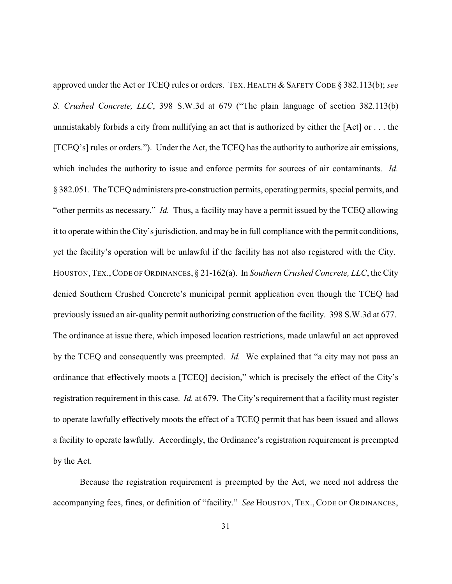approved under the Act or TCEQ rules or orders. TEX. HEALTH & SAFETY CODE § 382.113(b); *see S. Crushed Concrete, LLC*, 398 S.W.3d at 679 ("The plain language of section 382.113(b) unmistakably forbids a city from nullifying an act that is authorized by either the [Act] or . . . the [TCEQ's] rules or orders."). Under the Act, the TCEQ has the authority to authorize air emissions, which includes the authority to issue and enforce permits for sources of air contaminants. *Id.* § 382.051. The TCEQ administers pre-construction permits, operating permits, special permits, and "other permits as necessary." *Id.* Thus, a facility may have a permit issued by the TCEQ allowing it to operate within the City's jurisdiction, and may be in full compliance with the permit conditions, yet the facility's operation will be unlawful if the facility has not also registered with the City. HOUSTON,TEX.,CODE OF ORDINANCES, § 21-162(a). In *Southern Crushed Concrete, LLC*, the City denied Southern Crushed Concrete's municipal permit application even though the TCEQ had previously issued an air-quality permit authorizing construction of the facility. 398 S.W.3d at 677. The ordinance at issue there, which imposed location restrictions, made unlawful an act approved by the TCEQ and consequently was preempted. *Id.* We explained that "a city may not pass an ordinance that effectively moots a [TCEQ] decision," which is precisely the effect of the City's registration requirement in this case. *Id.* at 679. The City's requirement that a facility must register to operate lawfully effectively moots the effect of a TCEQ permit that has been issued and allows a facility to operate lawfully. Accordingly, the Ordinance's registration requirement is preempted by the Act.

Because the registration requirement is preempted by the Act, we need not address the accompanying fees, fines, or definition of "facility." *See* HOUSTON, TEX., CODE OF ORDINANCES,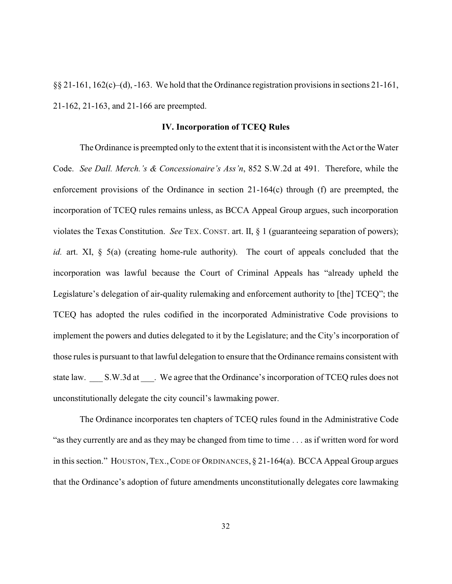§§ 21-161, 162(c)–(d), -163. We hold that the Ordinance registration provisions in sections 21-161, 21-162, 21-163, and 21-166 are preempted.

## **IV. Incorporation of TCEQ Rules**

The Ordinance is preempted only to the extent that it is inconsistent with the Act or the Water Code. *See Dall. Merch.'s & Concessionaire's Ass'n*, 852 S.W.2d at 491. Therefore, while the enforcement provisions of the Ordinance in section 21-164(c) through (f) are preempted, the incorporation of TCEQ rules remains unless, as BCCA Appeal Group argues, such incorporation violates the Texas Constitution. *See* TEX. CONST. art. II, § 1 (guaranteeing separation of powers); *id.* art. XI, § 5(a) (creating home-rule authority). The court of appeals concluded that the incorporation was lawful because the Court of Criminal Appeals has "already upheld the Legislature's delegation of air-quality rulemaking and enforcement authority to [the] TCEQ"; the TCEQ has adopted the rules codified in the incorporated Administrative Code provisions to implement the powers and duties delegated to it by the Legislature; and the City's incorporation of those rules is pursuant to that lawful delegation to ensure that the Ordinance remains consistent with state law. S.W.3d at We agree that the Ordinance's incorporation of TCEQ rules does not unconstitutionally delegate the city council's lawmaking power.

The Ordinance incorporates ten chapters of TCEQ rules found in the Administrative Code "as they currently are and as they may be changed from time to time . . . as if written word for word in this section." HOUSTON, TEX., CODE OF ORDINANCES,  $\S$  21-164(a). BCCA Appeal Group argues that the Ordinance's adoption of future amendments unconstitutionally delegates core lawmaking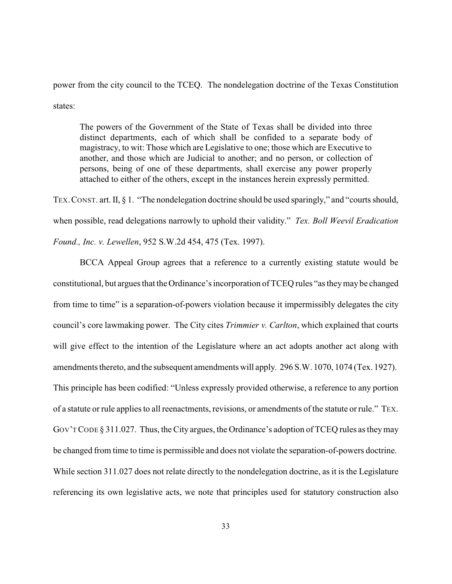power from the city council to the TCEQ. The nondelegation doctrine of the Texas Constitution states:

The powers of the Government of the State of Texas shall be divided into three distinct departments, each of which shall be confided to a separate body of magistracy, to wit: Those which are Legislative to one; those which are Executive to another, and those which are Judicial to another; and no person, or collection of persons, being of one of these departments, shall exercise any power properly attached to either of the others, except in the instances herein expressly permitted.

TEX.CONST. art. II, § 1. "The nondelegation doctrine should be used sparingly," and "courts should, when possible, read delegations narrowly to uphold their validity." *Tex. Boll Weevil Eradication Found., Inc. v. Lewellen*, 952 S.W.2d 454, 475 (Tex. 1997).

BCCA Appeal Group agrees that a reference to a currently existing statute would be constitutional, but argues that the Ordinance's incorporation of TCEQ rules "as theymay be changed from time to time" is a separation-of-powers violation because it impermissibly delegates the city council's core lawmaking power. The City cites *Trimmier v. Carlton*, which explained that courts will give effect to the intention of the Legislature where an act adopts another act along with amendments thereto, and the subsequent amendments will apply. 296 S.W. 1070, 1074 (Tex. 1927). This principle has been codified: "Unless expressly provided otherwise, a reference to any portion of a statute or rule applies to all reenactments, revisions, or amendments of the statute or rule." TEX. GOV'T CODE § 311.027. Thus, the City argues, the Ordinance's adoption of TCEQ rules as they may be changed from time to time is permissible and does not violate the separation-of-powers doctrine. While section 311.027 does not relate directly to the nondelegation doctrine, as it is the Legislature referencing its own legislative acts, we note that principles used for statutory construction also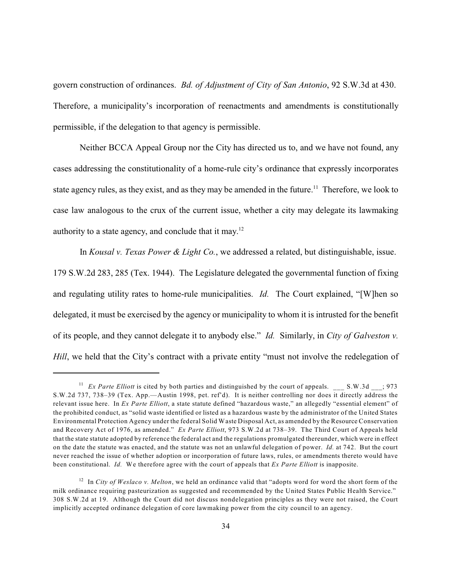govern construction of ordinances. *Bd. of Adjustment of City of San Antonio*, 92 S.W.3d at 430. Therefore, a municipality's incorporation of reenactments and amendments is constitutionally permissible, if the delegation to that agency is permissible.

Neither BCCA Appeal Group nor the City has directed us to, and we have not found, any cases addressing the constitutionality of a home-rule city's ordinance that expressly incorporates state agency rules, as they exist, and as they may be amended in the future.<sup>11</sup> Therefore, we look to case law analogous to the crux of the current issue, whether a city may delegate its lawmaking authority to a state agency, and conclude that it may.<sup>12</sup>

In *Kousal v. Texas Power & Light Co.*, we addressed a related, but distinguishable, issue. 179 S.W.2d 283, 285 (Tex. 1944). The Legislature delegated the governmental function of fixing and regulating utility rates to home-rule municipalities. *Id.* The Court explained, "[W]hen so delegated, it must be exercised by the agency or municipality to whom it is intrusted for the benefit of its people, and they cannot delegate it to anybody else." *Id.* Similarly, in *City of Galveston v. Hill*, we held that the City's contract with a private entity "must not involve the redelegation of

<sup>&</sup>lt;sup>11</sup> *Ex Parte Elliott* is cited by both parties and distinguished by the court of appeals. \_\_\_ S.W.3d \_\_\_; 973 S.W.2d 737, 738–39 (Tex. App.—Austin 1998, pet. ref'd). It is neither controlling nor does it directly address the relevant issue here. In *Ex Parte Elliott*, a state statute defined "hazardous waste," an allegedly "essential element" of the prohibited conduct, as "solid waste identified or listed as a hazardous waste by the administrator of the United States Environmental Protection Agency under the federal Solid Waste Disposal Act, as amended by the Resource Conservation and Recovery Act of 1976, as amended." *Ex Parte Elliott*, 973 S.W.2d at 738–39. The Third Court of Appeals held that the state statute adopted by reference the federal act and the regulations promulgated thereunder, which were in effect on the date the statute was enacted, and the statute was not an unlawful delegation of power. *Id.* at 742. But the court never reached the issue of whether adoption or incorporation of future laws, rules, or amendments thereto would have been constitutional. *Id.* We therefore agree with the court of appeals that *Ex Parte Elliott* is inapposite.

<sup>&</sup>lt;sup>12</sup> In *City of Weslaco v. Melton*, we held an ordinance valid that "adopts word for word the short form of the milk ordinance requiring pasteurization as suggested and recommended by the United States Public Health Service." 308 S.W.2d at 19. Although the Court did not discuss nondelegation principles as they were not raised, the Court implicitly accepted ordinance delegation of core lawmaking power from the city council to an agency.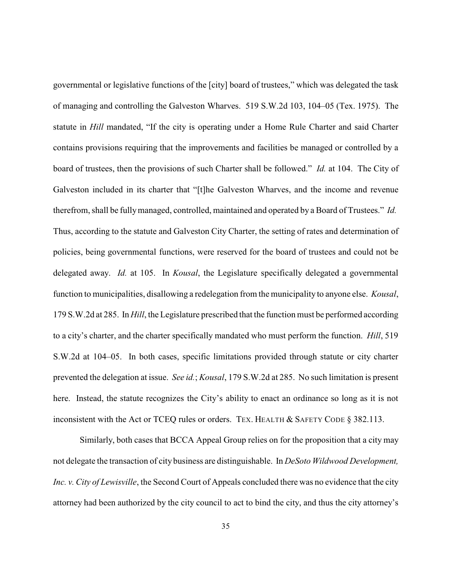governmental or legislative functions of the [city] board of trustees," which was delegated the task of managing and controlling the Galveston Wharves. 519 S.W.2d 103, 104–05 (Tex. 1975). The statute in *Hill* mandated, "If the city is operating under a Home Rule Charter and said Charter contains provisions requiring that the improvements and facilities be managed or controlled by a board of trustees, then the provisions of such Charter shall be followed." *Id.* at 104. The City of Galveston included in its charter that "[t]he Galveston Wharves, and the income and revenue therefrom, shall be fullymanaged, controlled, maintained and operated by a Board of Trustees." *Id.*  Thus, according to the statute and Galveston City Charter, the setting of rates and determination of policies, being governmental functions, were reserved for the board of trustees and could not be delegated away. *Id.* at 105. In *Kousal*, the Legislature specifically delegated a governmental function to municipalities, disallowing a redelegation from the municipality to anyone else. *Kousal*, 179 S.W.2d at 285. In *Hill*, the Legislature prescribed that the function must be performed according to a city's charter, and the charter specifically mandated who must perform the function. *Hill*, 519 S.W.2d at 104–05. In both cases, specific limitations provided through statute or city charter prevented the delegation at issue. *See id.*; *Kousal*, 179 S.W.2d at 285. No such limitation is present here. Instead, the statute recognizes the City's ability to enact an ordinance so long as it is not inconsistent with the Act or TCEQ rules or orders. TEX. HEALTH & SAFETY CODE § 382.113.

Similarly, both cases that BCCA Appeal Group relies on for the proposition that a city may not delegate the transaction of city business are distinguishable. In *DeSoto Wildwood Development, Inc. v. City of Lewisville*, the Second Court of Appeals concluded there was no evidence that the city attorney had been authorized by the city council to act to bind the city, and thus the city attorney's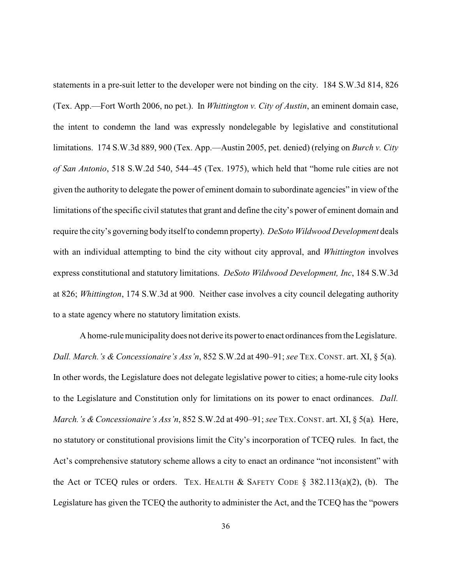statements in a pre-suit letter to the developer were not binding on the city. 184 S.W.3d 814, 826 (Tex. App.—Fort Worth 2006, no pet.). In *Whittington v. City of Austin*, an eminent domain case, the intent to condemn the land was expressly nondelegable by legislative and constitutional limitations. 174 S.W.3d 889, 900 (Tex. App.—Austin 2005, pet. denied) (relying on *Burch v. City of San Antonio*, 518 S.W.2d 540, 544–45 (Tex. 1975), which held that "home rule cities are not given the authority to delegate the power of eminent domain to subordinate agencies" in view of the limitations of the specific civil statutes that grant and define the city's power of eminent domain and require the city's governing bodyitself to condemn property). *DeSoto Wildwood Development* deals with an individual attempting to bind the city without city approval, and *Whittington* involves express constitutional and statutory limitations. *DeSoto Wildwood Development, Inc*, 184 S.W.3d at 826; *Whittington*, 174 S.W.3d at 900. Neither case involves a city council delegating authority to a state agency where no statutory limitation exists.

A home-rule municipality does not derive its power to enact ordinances from the Legislature. *Dall. March.'s & Concessionaire's Ass'n*, 852 S.W.2d at 490–91; *see* TEX.CONST. art. XI, § 5(a). In other words, the Legislature does not delegate legislative power to cities; a home-rule city looks to the Legislature and Constitution only for limitations on its power to enact ordinances. *Dall. March.'s & Concessionaire's Ass'n*, 852 S.W.2d at 490–91; *see* TEX. CONST. art. XI, § 5(a)*.* Here, no statutory or constitutional provisions limit the City's incorporation of TCEQ rules. In fact, the Act's comprehensive statutory scheme allows a city to enact an ordinance "not inconsistent" with the Act or TCEQ rules or orders. TEX. HEALTH  $&$  SAFETY CODE § 382.113(a)(2), (b). The Legislature has given the TCEQ the authority to administer the Act, and the TCEQ has the "powers